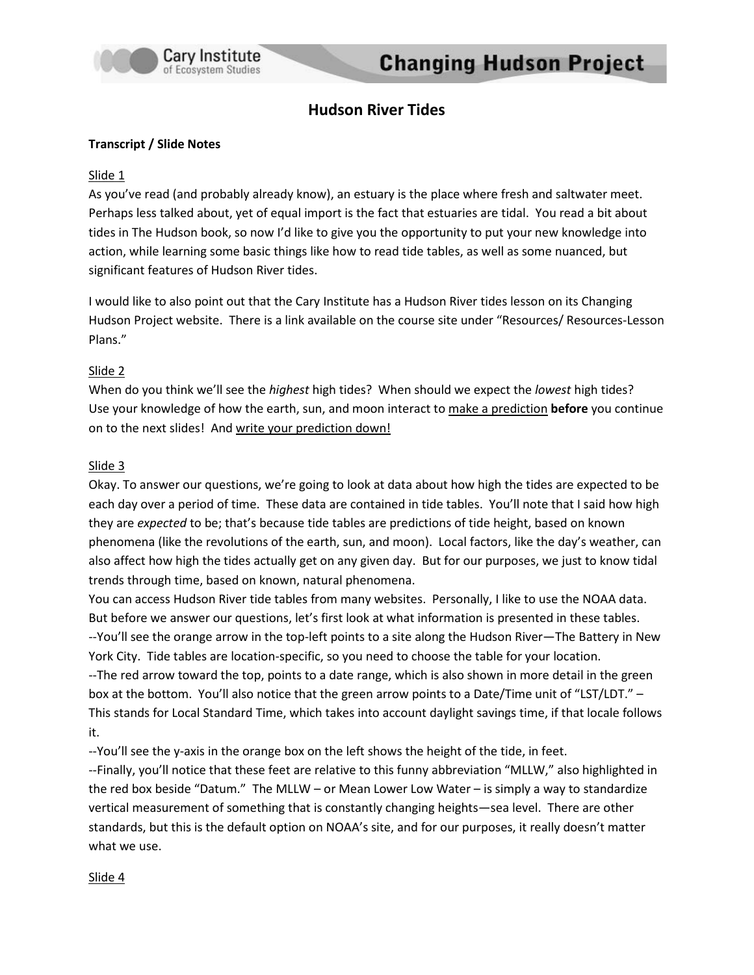

# **Hudson River Tides**

#### **Transcript / Slide Notes**

#### Slide 1

As you've read (and probably already know), an estuary is the place where fresh and saltwater meet. Perhaps less talked about, yet of equal import is the fact that estuaries are tidal. You read a bit about tides in The Hudson book, so now I'd like to give you the opportunity to put your new knowledge into action, while learning some basic things like how to read tide tables, as well as some nuanced, but significant features of Hudson River tides.

I would like to also point out that the Cary Institute has a Hudson River tides lesson on its Changing Hudson Project website. There is a link available on the course site under "Resources/ Resources-Lesson Plans."

#### Slide 2

When do you think we'll see the *highest* high tides? When should we expect the *lowest* high tides? Use your knowledge of how the earth, sun, and moon interact to make a prediction **before** you continue on to the next slides! And write your prediction down!

#### Slide 3

Okay. To answer our questions, we're going to look at data about how high the tides are expected to be each day over a period of time. These data are contained in tide tables. You'll note that I said how high they are *expected* to be; that's because tide tables are predictions of tide height, based on known phenomena (like the revolutions of the earth, sun, and moon). Local factors, like the day's weather, can also affect how high the tides actually get on any given day. But for our purposes, we just to know tidal trends through time, based on known, natural phenomena.

You can access Hudson River tide tables from many websites. Personally, I like to use the NOAA data. But before we answer our questions, let's first look at what information is presented in these tables. --You'll see the orange arrow in the top-left points to a site along the Hudson River—The Battery in New York City. Tide tables are location-specific, so you need to choose the table for your location. --The red arrow toward the top, points to a date range, which is also shown in more detail in the green box at the bottom. You'll also notice that the green arrow points to a Date/Time unit of "LST/LDT." -This stands for Local Standard Time, which takes into account daylight savings time, if that locale follows it.

--You'll see the y-axis in the orange box on the left shows the height of the tide, in feet.

--Finally, you'll notice that these feet are relative to this funny abbreviation "MLLW," also highlighted in the red box beside "Datum." The MLLW – or Mean Lower Low Water – is simply a way to standardize vertical measurement of something that is constantly changing heights—sea level. There are other standards, but this is the default option on NOAA's site, and for our purposes, it really doesn't matter what we use.

#### Slide 4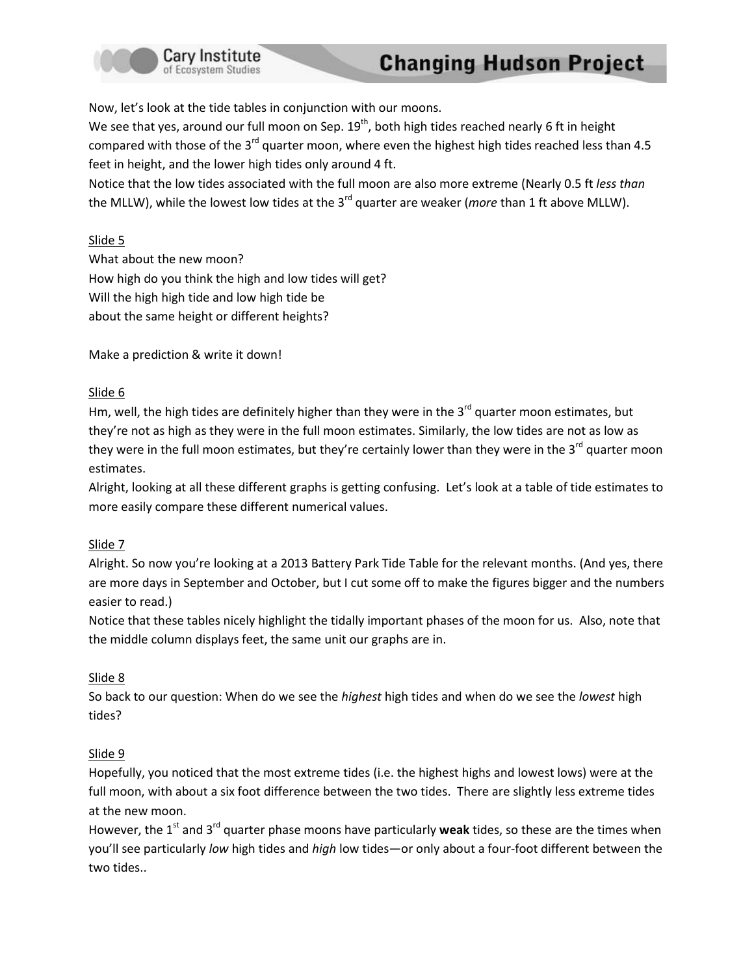

Now, let's look at the tide tables in conjunction with our moons.

We see that yes, around our full moon on Sep.  $19<sup>th</sup>$ , both high tides reached nearly 6 ft in height compared with those of the 3<sup>rd</sup> quarter moon, where even the highest high tides reached less than 4.5 feet in height, and the lower high tides only around 4 ft.

Notice that the low tides associated with the full moon are also more extreme (Nearly 0.5 ft *less than*  the MLLW), while the lowest low tides at the 3<sup>rd</sup> quarter are weaker (*more* than 1 ft above MLLW).

## Slide 5

What about the new moon? How high do you think the high and low tides will get? Will the high high tide and low high tide be about the same height or different heights?

Make a prediction & write it down!

## Slide 6

Hm, well, the high tides are definitely higher than they were in the 3<sup>rd</sup> quarter moon estimates, but they're not as high as they were in the full moon estimates. Similarly, the low tides are not as low as they were in the full moon estimates, but they're certainly lower than they were in the 3<sup>rd</sup> quarter moon estimates.

Alright, looking at all these different graphs is getting confusing. Let's look at a table of tide estimates to more easily compare these different numerical values.

## Slide 7

Alright. So now you're looking at a 2013 Battery Park Tide Table for the relevant months. (And yes, there are more days in September and October, but I cut some off to make the figures bigger and the numbers easier to read.)

Notice that these tables nicely highlight the tidally important phases of the moon for us. Also, note that the middle column displays feet, the same unit our graphs are in.

## Slide 8

So back to our question: When do we see the *highest* high tides and when do we see the *lowest* high tides?

## Slide 9

Hopefully, you noticed that the most extreme tides (i.e. the highest highs and lowest lows) were at the full moon, with about a six foot difference between the two tides. There are slightly less extreme tides at the new moon.

However, the 1<sup>st</sup> and 3<sup>rd</sup> quarter phase moons have particularly weak tides, so these are the times when you'll see particularly *low* high tides and *high* low tides—or only about a four-foot different between the two tides..